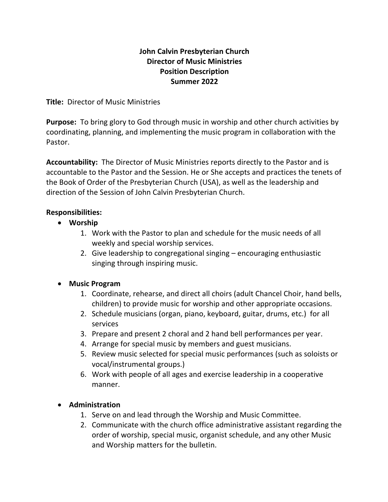#### **John Calvin Presbyterian Church Director of Music Ministries Position Description Summer 2022**

**Title:** Director of Music Ministries

**Purpose:** To bring glory to God through music in worship and other church activities by coordinating, planning, and implementing the music program in collaboration with the Pastor.

**Accountability:** The Director of Music Ministries reports directly to the Pastor and is accountable to the Pastor and the Session. He or She accepts and practices the tenets of the Book of Order of the Presbyterian Church (USA), as well as the leadership and direction of the Session of John Calvin Presbyterian Church.

### **Responsibilities:**

- **Worship**
	- 1. Work with the Pastor to plan and schedule for the music needs of all weekly and special worship services.
	- 2. Give leadership to congregational singing encouraging enthusiastic singing through inspiring music.

### • **Music Program**

- 1. Coordinate, rehearse, and direct all choirs (adult Chancel Choir, hand bells, children) to provide music for worship and other appropriate occasions.
- 2. Schedule musicians (organ, piano, keyboard, guitar, drums, etc.) for all services
- 3. Prepare and present 2 choral and 2 hand bell performances per year.
- 4. Arrange for special music by members and guest musicians.
- 5. Review music selected for special music performances (such as soloists or vocal/instrumental groups.)
- 6. Work with people of all ages and exercise leadership in a cooperative manner.

# • **Administration**

- 1. Serve on and lead through the Worship and Music Committee.
- 2. Communicate with the church office administrative assistant regarding the order of worship, special music, organist schedule, and any other Music and Worship matters for the bulletin.